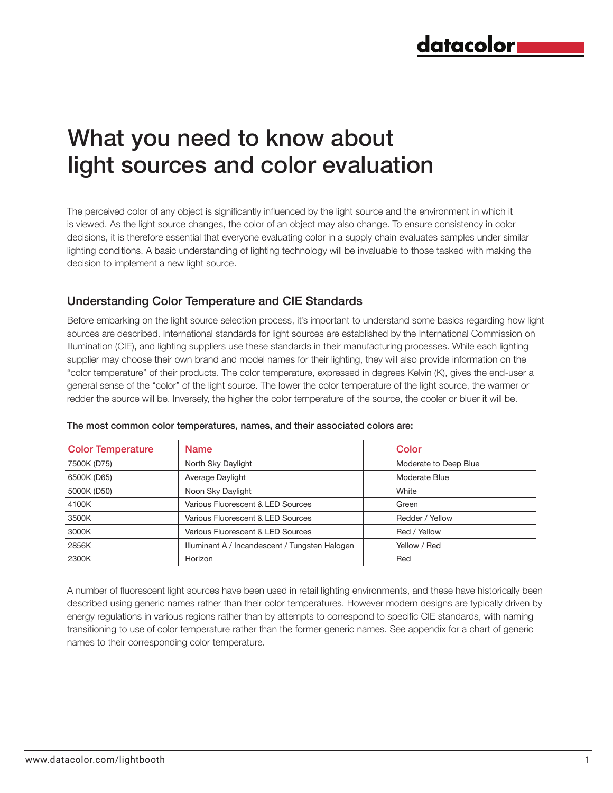# What you need to know about light sources and color evaluation

The perceived color of any object is significantly influenced by the light source and the environment in which it is viewed. As the light source changes, the color of an object may also change. To ensure consistency in color decisions, it is therefore essential that everyone evaluating color in a supply chain evaluates samples under similar lighting conditions. A basic understanding of lighting technology will be invaluable to those tasked with making the decision to implement a new light source.

#### Understanding Color Temperature and CIE Standards

Before embarking on the light source selection process, it's important to understand some basics regarding how light sources are described. International standards for light sources are established by the International Commission on Illumination (CIE), and lighting suppliers use these standards in their manufacturing processes. While each lighting supplier may choose their own brand and model names for their lighting, they will also provide information on the "color temperature" of their products. The color temperature, expressed in degrees Kelvin (K), gives the end-user a general sense of the "color" of the light source. The lower the color temperature of the light source, the warmer or redder the source will be. Inversely, the higher the color temperature of the source, the cooler or bluer it will be.

| <b>Color Temperature</b> | Color<br><b>Name</b>                                 |                       |  |
|--------------------------|------------------------------------------------------|-----------------------|--|
| 7500K (D75)              | North Sky Daylight                                   | Moderate to Deep Blue |  |
| 6500K (D65)              | Average Daylight<br>Moderate Blue                    |                       |  |
| 5000K (D50)              | Noon Sky Daylight<br>White                           |                       |  |
| 4100K                    | Various Fluorescent & LED Sources                    | Green                 |  |
| 3500K                    | Various Fluorescent & LED Sources<br>Redder / Yellow |                       |  |
| 3000K                    | Various Fluorescent & LED Sources<br>Red / Yellow    |                       |  |
| 2856K                    | Illuminant A / Incandescent / Tungsten Halogen       | Yellow / Red          |  |
| 2300K                    | Horizon                                              | Red                   |  |

#### The most common color temperatures, names, and their associated colors are:

A number of fluorescent light sources have been used in retail lighting environments, and these have historically been described using generic names rather than their color temperatures. However modern designs are typically driven by energy regulations in various regions rather than by attempts to correspond to specific CIE standards, with naming transitioning to use of color temperature rather than the former generic names. See appendix for a chart of generic names to their corresponding color temperature.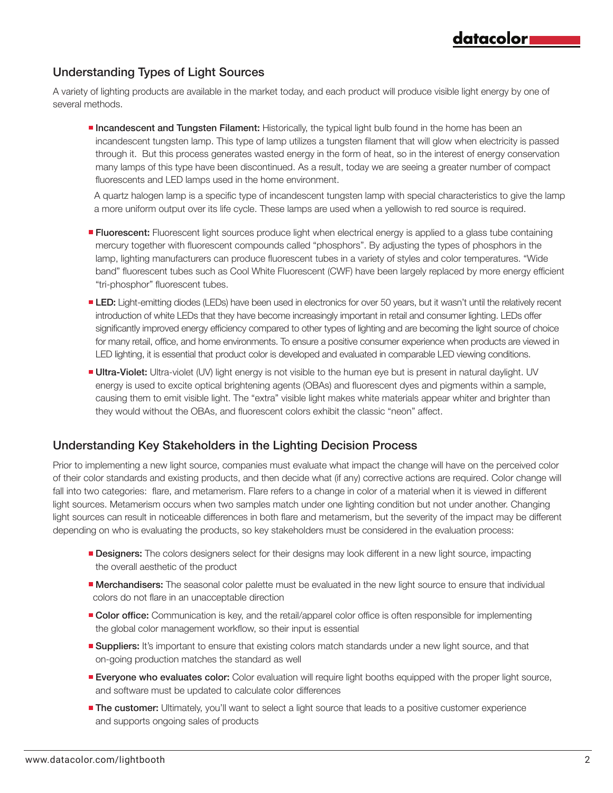### Understanding Types of Light Sources

A variety of lighting products are available in the market today, and each product will produce visible light energy by one of several methods.

**Incandescent and Tungsten Filament:** Historically, the typical light bulb found in the home has been an incandescent tungsten lamp. This type of lamp utilizes a tungsten filament that will glow when electricity is passed through it. But this process generates wasted energy in the form of heat, so in the interest of energy conservation many lamps of this type have been discontinued. As a result, today we are seeing a greater number of compact fluorescents and LED lamps used in the home environment.

datacolor

 A quartz halogen lamp is a specific type of incandescent tungsten lamp with special characteristics to give the lamp a more uniform output over its life cycle. These lamps are used when a yellowish to red source is required.

- **Fluorescent:** Fluorescent light sources produce light when electrical energy is applied to a glass tube containing mercury together with fluorescent compounds called "phosphors". By adjusting the types of phosphors in the lamp, lighting manufacturers can produce fluorescent tubes in a variety of styles and color temperatures. "Wide band" fluorescent tubes such as Cool White Fluorescent (CWF) have been largely replaced by more energy efficient "tri-phosphor" fluorescent tubes.
- **LED:** Light-emitting diodes (LEDs) have been used in electronics for over 50 years, but it wasn't until the relatively recent introduction of white LEDs that they have become increasingly important in retail and consumer lighting. LEDs offer significantly improved energy efficiency compared to other types of lighting and are becoming the light source of choice for many retail, office, and home environments. To ensure a positive consumer experience when products are viewed in LED lighting, it is essential that product color is developed and evaluated in comparable LED viewing conditions.
- **Ultra-Violet:** Ultra-violet (UV) light energy is not visible to the human eye but is present in natural daylight. UV energy is used to excite optical brightening agents (OBAs) and fluorescent dyes and pigments within a sample, causing them to emit visible light. The "extra" visible light makes white materials appear whiter and brighter than they would without the OBAs, and fluorescent colors exhibit the classic "neon" affect.

#### Understanding Key Stakeholders in the Lighting Decision Process

Prior to implementing a new light source, companies must evaluate what impact the change will have on the perceived color of their color standards and existing products, and then decide what (if any) corrective actions are required. Color change will fall into two categories: flare, and metamerism. Flare refers to a change in color of a material when it is viewed in different light sources. Metamerism occurs when two samples match under one lighting condition but not under another. Changing light sources can result in noticeable differences in both flare and metamerism, but the severity of the impact may be different depending on who is evaluating the products, so key stakeholders must be considered in the evaluation process:

- **Designers:** The colors designers select for their designs may look different in a new light source, impacting the overall aesthetic of the product
- **Merchandisers:** The seasonal color palette must be evaluated in the new light source to ensure that individual colors do not flare in an unacceptable direction
- **Color office:** Communication is key, and the retail/apparel color office is often responsible for implementing the global color management workflow, so their input is essential
- **Suppliers:** It's important to ensure that existing colors match standards under a new light source, and that on-going production matches the standard as well
- **Everyone who evaluates color:** Color evaluation will require light booths equipped with the proper light source, and software must be updated to calculate color differences
- **The customer:** Ultimately, you'll want to select a light source that leads to a positive customer experience and supports ongoing sales of products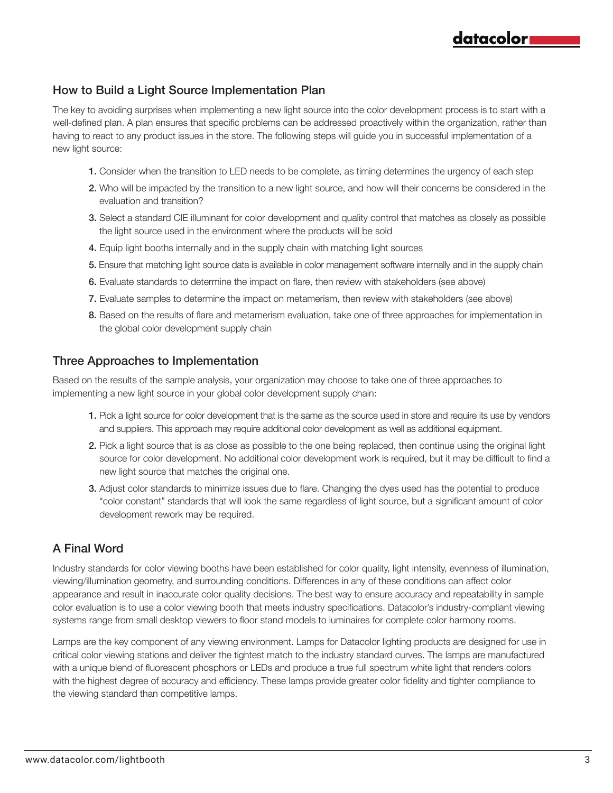#### How to Build a Light Source Implementation Plan

The key to avoiding surprises when implementing a new light source into the color development process is to start with a well-defined plan. A plan ensures that specific problems can be addressed proactively within the organization, rather than having to react to any product issues in the store. The following steps will guide you in successful implementation of a new light source:

- 1. Consider when the transition to LED needs to be complete, as timing determines the urgency of each step
- 2. Who will be impacted by the transition to a new light source, and how will their concerns be considered in the evaluation and transition?
- 3. Select a standard CIE illuminant for color development and quality control that matches as closely as possible the light source used in the environment where the products will be sold
- 4. Equip light booths internally and in the supply chain with matching light sources
- 5. Ensure that matching light source data is available in color management software internally and in the supply chain
- 6. Evaluate standards to determine the impact on flare, then review with stakeholders (see above)
- 7. Evaluate samples to determine the impact on metamerism, then review with stakeholders (see above)
- 8. Based on the results of flare and metamerism evaluation, take one of three approaches for implementation in the global color development supply chain

#### Three Approaches to Implementation

Based on the results of the sample analysis, your organization may choose to take one of three approaches to implementing a new light source in your global color development supply chain:

- 1. Pick a light source for color development that is the same as the source used in store and require its use by vendors and suppliers. This approach may require additional color development as well as additional equipment.
- 2. Pick a light source that is as close as possible to the one being replaced, then continue using the original light source for color development. No additional color development work is required, but it may be difficult to find a new light source that matches the original one.
- 3. Adjust color standards to minimize issues due to flare. Changing the dyes used has the potential to produce "color constant" standards that will look the same regardless of light source, but a significant amount of color development rework may be required.

## A Final Word

Industry standards for color viewing booths have been established for color quality, light intensity, evenness of illumination, viewing/illumination geometry, and surrounding conditions. Differences in any of these conditions can affect color appearance and result in inaccurate color quality decisions. The best way to ensure accuracy and repeatability in sample color evaluation is to use a color viewing booth that meets industry specifications. Datacolor's industry-compliant viewing systems range from small desktop viewers to floor stand models to luminaires for complete color harmony rooms.

Lamps are the key component of any viewing environment. Lamps for Datacolor lighting products are designed for use in critical color viewing stations and deliver the tightest match to the industry standard curves. The lamps are manufactured with a unique blend of fluorescent phosphors or LEDs and produce a true full spectrum white light that renders colors with the highest degree of accuracy and efficiency. These lamps provide greater color fidelity and tighter compliance to the viewing standard than competitive lamps.